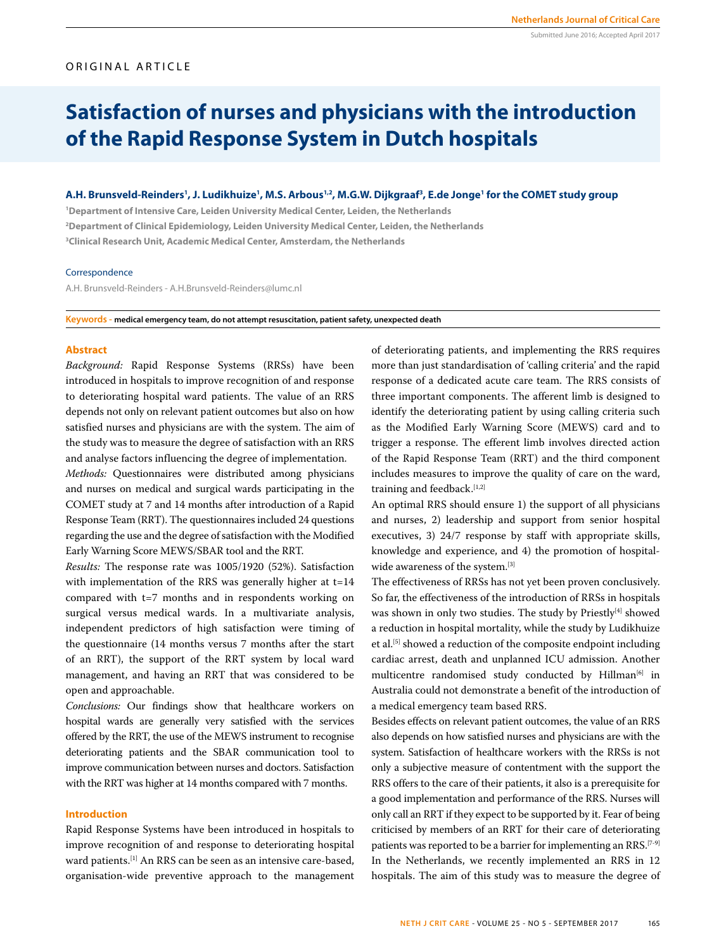## ORIGINAL ARTICLE

# **Satisfaction of nurses and physicians with the introduction of the Rapid Response System in Dutch hospitals**

## A.H. Brunsveld-Reinders', J. Ludikhuize', M.S. Arbous'<sup>,2</sup>, M.G.W. Dijkgraaf<sup>3</sup>, E.de Jonge' for the COMET study group

**1 Department of Intensive Care, Leiden University Medical Center, Leiden, the Netherlands 2 Department of Clinical Epidemiology, Leiden University Medical Center, Leiden, the Netherlands 3 Clinical Research Unit, Academic Medical Center, Amsterdam, the Netherlands**

#### Correspondence

A.H. Brunsveld-Reinders - A.H.Brunsveld-Reinders@lumc.nl

**Keywords - medical emergency team, do not attempt resuscitation, patient safety, unexpected death**

#### **Abstract**

*Background:* Rapid Response Systems (RRSs) have been introduced in hospitals to improve recognition of and response to deteriorating hospital ward patients. The value of an RRS depends not only on relevant patient outcomes but also on how satisfied nurses and physicians are with the system. The aim of the study was to measure the degree of satisfaction with an RRS and analyse factors influencing the degree of implementation.

*Methods:* Questionnaires were distributed among physicians and nurses on medical and surgical wards participating in the COMET study at 7 and 14 months after introduction of a Rapid Response Team (RRT). The questionnaires included 24 questions regarding the use and the degree of satisfaction with the Modified Early Warning Score MEWS/SBAR tool and the RRT.

*Results:* The response rate was 1005/1920 (52%). Satisfaction with implementation of the RRS was generally higher at t=14 compared with t=7 months and in respondents working on surgical versus medical wards. In a multivariate analysis, independent predictors of high satisfaction were timing of the questionnaire (14 months versus 7 months after the start of an RRT), the support of the RRT system by local ward management, and having an RRT that was considered to be open and approachable.

*Conclusions:* Our findings show that healthcare workers on hospital wards are generally very satisfied with the services offered by the RRT, the use of the MEWS instrument to recognise deteriorating patients and the SBAR communication tool to improve communication between nurses and doctors. Satisfaction with the RRT was higher at 14 months compared with 7 months.

## **Introduction**

Rapid Response Systems have been introduced in hospitals to improve recognition of and response to deteriorating hospital ward patients.<sup>[1]</sup> An RRS can be seen as an intensive care-based, organisation-wide preventive approach to the management of deteriorating patients, and implementing the RRS requires more than just standardisation of 'calling criteria' and the rapid response of a dedicated acute care team. The RRS consists of three important components. The afferent limb is designed to identify the deteriorating patient by using calling criteria such as the Modified Early Warning Score (MEWS) card and to trigger a response. The efferent limb involves directed action of the Rapid Response Team (RRT) and the third component includes measures to improve the quality of care on the ward, training and feedback.<sup>[1,2]</sup>

An optimal RRS should ensure 1) the support of all physicians and nurses, 2) leadership and support from senior hospital executives, 3) 24/7 response by staff with appropriate skills, knowledge and experience, and 4) the promotion of hospitalwide awareness of the system.[3]

The effectiveness of RRSs has not yet been proven conclusively. So far, the effectiveness of the introduction of RRSs in hospitals was shown in only two studies. The study by Priestly<sup>[4]</sup> showed a reduction in hospital mortality, while the study by Ludikhuize et al.<sup>[5]</sup> showed a reduction of the composite endpoint including cardiac arrest, death and unplanned ICU admission. Another multicentre randomised study conducted by Hillman<sup>[6]</sup> in Australia could not demonstrate a benefit of the introduction of a medical emergency team based RRS.

Besides effects on relevant patient outcomes, the value of an RRS also depends on how satisfied nurses and physicians are with the system. Satisfaction of healthcare workers with the RRSs is not only a subjective measure of contentment with the support the RRS offers to the care of their patients, it also is a prerequisite for a good implementation and performance of the RRS. Nurses will only call an RRT if they expect to be supported by it. Fear of being criticised by members of an RRT for their care of deteriorating patients was reported to be a barrier for implementing an RRS.<sup>[7-9]</sup> In the Netherlands, we recently implemented an RRS in 12 hospitals. The aim of this study was to measure the degree of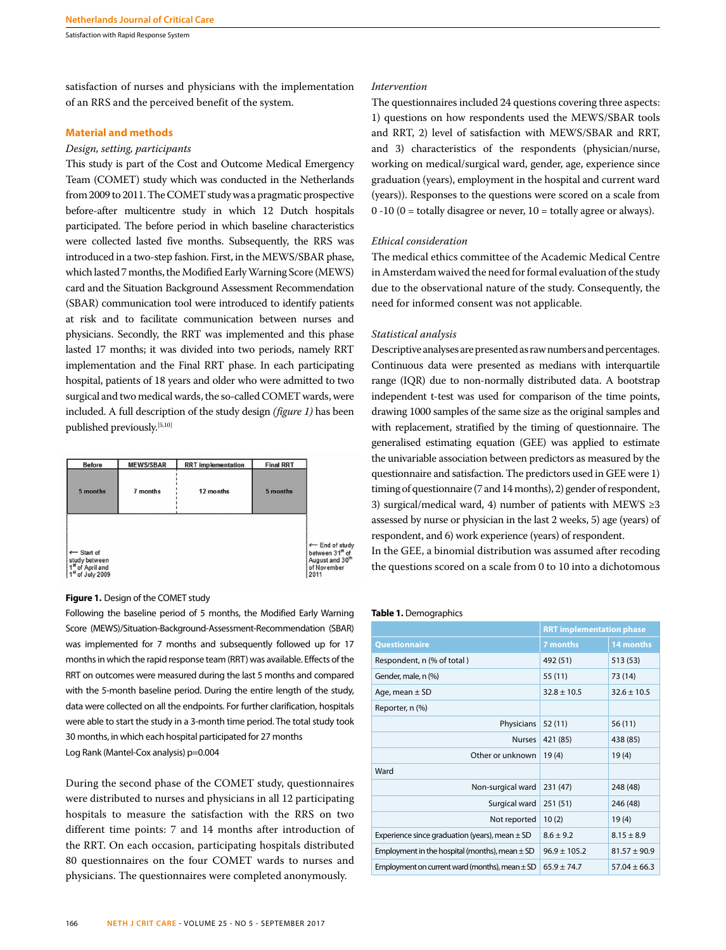Satisfaction with Rapid Response System

satisfaction of nurses and physicians with the implementation of an RRS and the perceived benefit of the system.

## **Material and methods**

### *Design, setting, participants*

This study is part of the Cost and Outcome Medical Emergency Team (COMET) study which was conducted in the Netherlands from 2009 to 2011. The COMET study was a pragmatic prospective before-after multicentre study in which 12 Dutch hospitals participated. The before period in which baseline characteristics were collected lasted five months. Subsequently, the RRS was introduced in a two-step fashion. First, in the MEWS/SBAR phase, which lasted 7 months, the Modified Early Warning Score (MEWS) card and the Situation Background Assessment Recommendation (SBAR) communication tool were introduced to identify patients at risk and to facilitate communication between nurses and physicians. Secondly, the RRT was implemented and this phase lasted 17 months; it was divided into two periods, namely RRT implementation and the Final RRT phase. In each participating hospital, patients of 18 years and older who were admitted to two surgical and two medical wards, the so-called COMET wards, were included. A full description of the study design *(figure 1)* has been published previously.[5,10]



#### **Figure 1.** Design of the COMET study

Following the baseline period of 5 months, the Modified Early Warning Score (MEWS)/Situation-Background-Assessment-Recommendation (SBAR) was implemented for 7 months and subsequently followed up for 17 months in which the rapid response team (RRT) was available. Effects of the RRT on outcomes were measured during the last 5 months and compared with the 5-month baseline period. During the entire length of the study, data were collected on all the endpoints. For further clarification, hospitals were able to start the study in a 3-month time period. The total study took 30 months, in which each hospital participated for 27 months Log Rank (Mantel-Cox analysis) p=0.004

During the second phase of the COMET study, questionnaires were distributed to nurses and physicians in all 12 participating hospitals to measure the satisfaction with the RRS on two different time points: 7 and 14 months after introduction of the RRT. On each occasion, participating hospitals distributed 80 questionnaires on the four COMET wards to nurses and physicians. The questionnaires were completed anonymously.

#### *Intervention*

The questionnaires included 24 questions covering three aspects: 1) questions on how respondents used the MEWS/SBAR tools and RRT, 2) level of satisfaction with MEWS/SBAR and RRT, and 3) characteristics of the respondents (physician/nurse, working on medical/surgical ward, gender, age, experience since graduation (years), employment in the hospital and current ward (years)). Responses to the questions were scored on a scale from  $0 -10$  ( $0 =$  totally disagree or never,  $10 =$  totally agree or always).

## *Ethical consideration*

The medical ethics committee of the Academic Medical Centre in Amsterdam waived the need for formal evaluation of the study due to the observational nature of the study. Consequently, the need for informed consent was not applicable.

#### *Statistical analysis*

Descriptive analyses are presented as raw numbers and percentages. Continuous data were presented as medians with interquartile range (IQR) due to non-normally distributed data. A bootstrap independent t-test was used for comparison of the time points, drawing 1000 samples of the same size as the original samples and with replacement, stratified by the timing of questionnaire. The generalised estimating equation (GEE) was applied to estimate the univariable association between predictors as measured by the questionnaire and satisfaction. The predictors used in GEE were 1) timing of questionnaire (7 and 14 months), 2) gender of respondent, 3) surgical/medical ward, 4) number of patients with MEWS ≥3 assessed by nurse or physician in the last 2 weeks, 5) age (years) of respondent, and 6) work experience (years) of respondent.

In the GEE, a binomial distribution was assumed after recoding the questions scored on a scale from 0 to 10 into a dichotomous

#### **Table 1.** Demographics

|                                                    | <b>RRT implementation phase</b> |                  |  |
|----------------------------------------------------|---------------------------------|------------------|--|
| <b>Questionnaire</b>                               | 7 months                        | 14 months        |  |
| Respondent, n (% of total)                         | 492 (51)                        | 513 (53)         |  |
| Gender, male, n (%)                                | 55 (11)                         | 73 (14)          |  |
| Age, mean $\pm$ SD                                 | $32.8 \pm 10.5$                 | $32.6 \pm 10.5$  |  |
| Reporter, n (%)                                    |                                 |                  |  |
| Physicians                                         | 52(11)                          | 56(11)           |  |
| <b>Nurses</b>                                      | 421 (85)                        | 438 (85)         |  |
| Other or unknown                                   | 19(4)                           | 19(4)            |  |
| Ward                                               |                                 |                  |  |
| Non-surgical ward                                  | 231 (47)                        | 248 (48)         |  |
| Surgical ward                                      | 251 (51)                        | 246 (48)         |  |
| Not reported                                       | 10(2)                           | 19(4)            |  |
| Experience since graduation (years), mean $\pm$ SD | $8.6 + 9.2$                     | $8.15 \pm 8.9$   |  |
| Employment in the hospital (months), mean $\pm$ SD | $96.9 \pm 105.2$                | $81.57 + 90.9$   |  |
| Employment on current ward (months), mean $\pm$ SD | $65.9 + 74.7$                   | $57.04 \pm 66.3$ |  |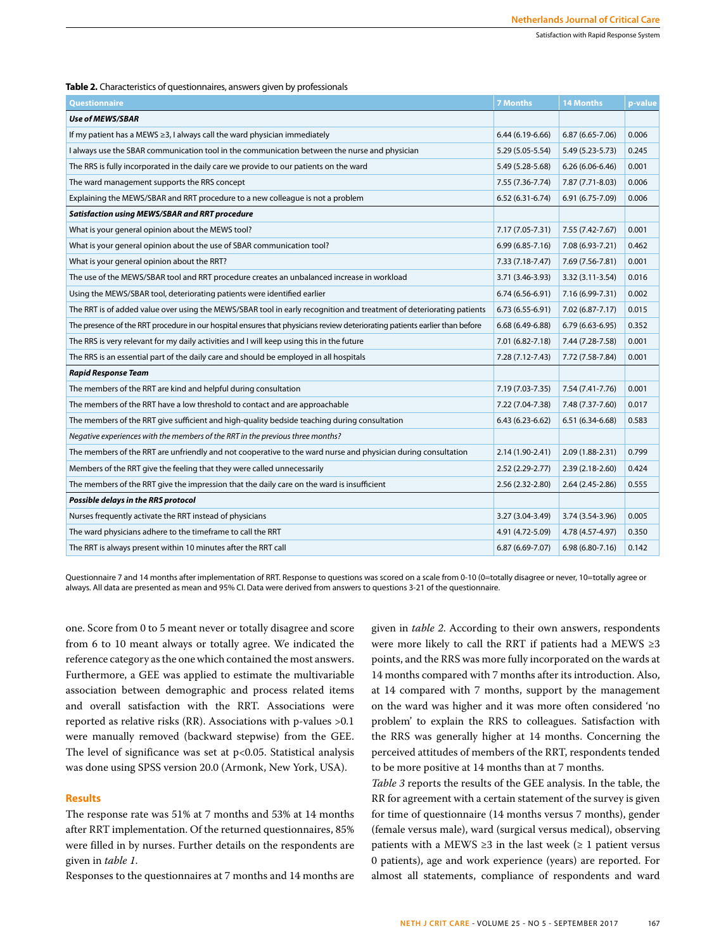**Table 2.** Characteristics of questionnaires, answers given by professionals

| <b>Questionnaire</b>                                                                                                        | <b>7 Months</b>     | <b>14 Months</b>    | p-value |
|-----------------------------------------------------------------------------------------------------------------------------|---------------------|---------------------|---------|
| Use of MEWS/SBAR                                                                                                            |                     |                     |         |
| If my patient has a MEWS $\geq$ 3, I always call the ward physician immediately                                             | $6.44(6.19-6.66)$   | $6.87(6.65 - 7.06)$ | 0.006   |
| I always use the SBAR communication tool in the communication between the nurse and physician                               | 5.29 (5.05-5.54)    | 5.49 (5.23-5.73)    | 0.245   |
| The RRS is fully incorporated in the daily care we provide to our patients on the ward                                      | 5.49 (5.28-5.68)    | $6.26(6.06-6.46)$   | 0.001   |
| The ward management supports the RRS concept                                                                                | 7.55 (7.36-7.74)    | 7.87 (7.71-8.03)    | 0.006   |
| Explaining the MEWS/SBAR and RRT procedure to a new colleague is not a problem                                              | $6.52(6.31-6.74)$   | 6.91 (6.75-7.09)    | 0.006   |
| <b>Satisfaction using MEWS/SBAR and RRT procedure</b>                                                                       |                     |                     |         |
| What is your general opinion about the MEWS tool?                                                                           | 7.17 (7.05-7.31)    | 7.55 (7.42-7.67)    | 0.001   |
| What is your general opinion about the use of SBAR communication tool?                                                      | $6.99(6.85 - 7.16)$ | 7.08 (6.93-7.21)    | 0.462   |
| What is your general opinion about the RRT?                                                                                 | 7.33 (7.18-7.47)    | 7.69 (7.56-7.81)    | 0.001   |
| The use of the MEWS/SBAR tool and RRT procedure creates an unbalanced increase in workload                                  | 3.71 (3.46-3.93)    | 3.32 (3.11-3.54)    | 0.016   |
| Using the MEWS/SBAR tool, deteriorating patients were identified earlier                                                    | $6.74(6.56-6.91)$   | 7.16 (6.99-7.31)    | 0.002   |
| The RRT is of added value over using the MEWS/SBAR tool in early recognition and treatment of deteriorating patients        | $6.73(6.55-6.91)$   | 7.02 (6.87-7.17)    | 0.015   |
| The presence of the RRT procedure in our hospital ensures that physicians review deteriorating patients earlier than before | $6.68(6.49-6.88)$   | $6.79(6.63-6.95)$   | 0.352   |
| The RRS is very relevant for my daily activities and I will keep using this in the future                                   | 7.01 (6.82-7.18)    | 7.44 (7.28-7.58)    | 0.001   |
| The RRS is an essential part of the daily care and should be employed in all hospitals                                      | 7.28 (7.12-7.43)    | 7.72 (7.58-7.84)    | 0.001   |
| <b>Rapid Response Team</b>                                                                                                  |                     |                     |         |
| The members of the RRT are kind and helpful during consultation                                                             | 7.19 (7.03-7.35)    | 7.54 (7.41-7.76)    | 0.001   |
| The members of the RRT have a low threshold to contact and are approachable                                                 | 7.22 (7.04-7.38)    | 7.48 (7.37-7.60)    | 0.017   |
| The members of the RRT give sufficient and high-quality bedside teaching during consultation                                | $6.43(6.23-6.62)$   | $6.51(6.34-6.68)$   | 0.583   |
| Negative experiences with the members of the RRT in the previous three months?                                              |                     |                     |         |
| The members of the RRT are unfriendly and not cooperative to the ward nurse and physician during consultation               | 2.14 (1.90-2.41)    | 2.09 (1.88-2.31)    | 0.799   |
| Members of the RRT give the feeling that they were called unnecessarily                                                     | $2.52(2.29-2.77)$   | 2.39 (2.18-2.60)    | 0.424   |
| The members of the RRT give the impression that the daily care on the ward is insufficient                                  | 2.56 (2.32-2.80)    | $2.64(2.45-2.86)$   | 0.555   |
| Possible delays in the RRS protocol                                                                                         |                     |                     |         |
| Nurses frequently activate the RRT instead of physicians                                                                    | 3.27 (3.04-3.49)    | 3.74 (3.54-3.96)    | 0.005   |
| The ward physicians adhere to the timeframe to call the RRT                                                                 | 4.91 (4.72-5.09)    | 4.78 (4.57-4.97)    | 0.350   |
| The RRT is always present within 10 minutes after the RRT call                                                              | $6.87(6.69-7.07)$   | $6.98(6.80-7.16)$   | 0.142   |

Questionnaire 7 and 14 months after implementation of RRT. Response to questions was scored on a scale from 0-10 (0=totally disagree or never, 10=totally agree or always. All data are presented as mean and 95% CI. Data were derived from answers to questions 3-21 of the questionnaire.

one. Score from 0 to 5 meant never or totally disagree and score from 6 to 10 meant always or totally agree. We indicated the reference category as the one which contained the most answers. Furthermore, a GEE was applied to estimate the multivariable association between demographic and process related items and overall satisfaction with the RRT. Associations were reported as relative risks (RR). Associations with p-values >0.1 were manually removed (backward stepwise) from the GEE. The level of significance was set at p<0.05. Statistical analysis was done using SPSS version 20.0 (Armonk, New York, USA).

#### **Results**

The response rate was 51% at 7 months and 53% at 14 months after RRT implementation. Of the returned questionnaires, 85% were filled in by nurses. Further details on the respondents are given in *table 1*.

Responses to the questionnaires at 7 months and 14 months are

given in *table 2*. According to their own answers, respondents were more likely to call the RRT if patients had a MEWS ≥3 points, and the RRS was more fully incorporated on the wards at 14 months compared with 7 months after its introduction. Also, at 14 compared with 7 months, support by the management on the ward was higher and it was more often considered 'no problem' to explain the RRS to colleagues. Satisfaction with the RRS was generally higher at 14 months. Concerning the perceived attitudes of members of the RRT, respondents tended to be more positive at 14 months than at 7 months.

*Table 3* reports the results of the GEE analysis. In the table, the RR for agreement with a certain statement of the survey is given for time of questionnaire (14 months versus 7 months), gender (female versus male), ward (surgical versus medical), observing patients with a MEWS ≥3 in the last week (≥ 1 patient versus 0 patients), age and work experience (years) are reported. For almost all statements, compliance of respondents and ward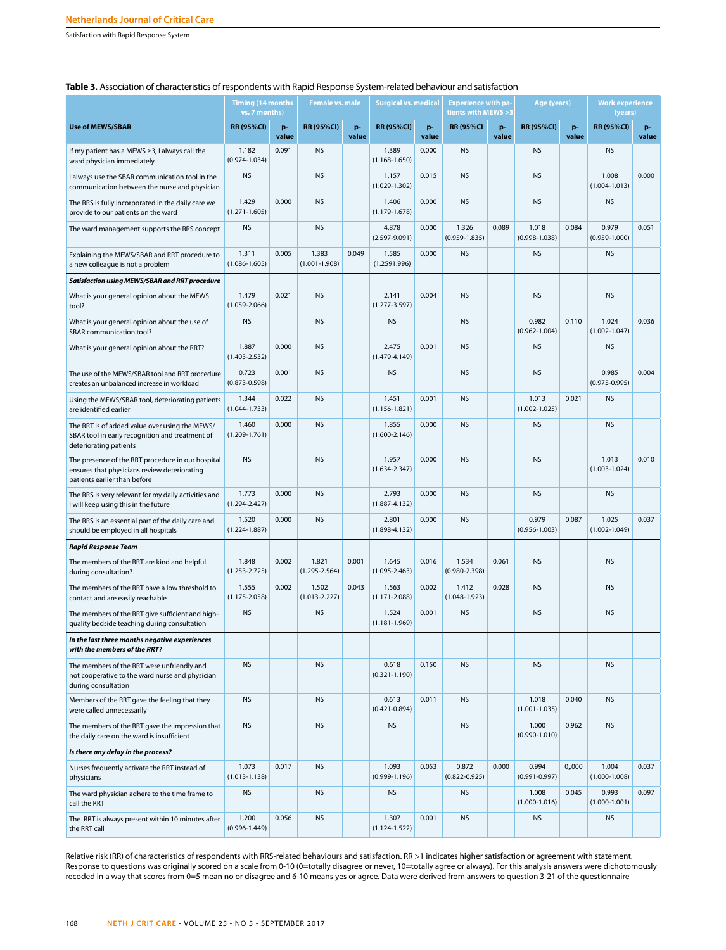Satisfaction with Rapid Response System

## **Table 3.** Association of characteristics of respondents with Rapid Response System-related behaviour and satisfaction

|                                                                                                                                   | <b>Timing (14 months</b><br>vs. 7 months) |             | <b>Female vs. male</b>     |             | <b>Surgical vs. medical</b> |             | <b>Experience with pa-</b><br>tients with MEWS > 3 |             | Age (years)                |             | <b>Work experience</b><br>(years) |             |
|-----------------------------------------------------------------------------------------------------------------------------------|-------------------------------------------|-------------|----------------------------|-------------|-----------------------------|-------------|----------------------------------------------------|-------------|----------------------------|-------------|-----------------------------------|-------------|
| <b>Use of MEWS/SBAR</b>                                                                                                           | <b>RR (95%CI)</b>                         | p-<br>value | <b>RR (95%CI)</b>          | p-<br>value | <b>RR (95%CI)</b>           | p-<br>value | <b>RR (95%CI</b>                                   | p-<br>value | <b>RR (95%CI)</b>          | p-<br>value | <b>RR (95%CI)</b>                 | p-<br>value |
| If my patient has a MEWS ≥3, I always call the<br>ward physician immediately                                                      | 1.182<br>$(0.974 - 1.034)$                | 0.091       | <b>NS</b>                  |             | 1.389<br>$(1.168 - 1.650)$  | 0.000       | <b>NS</b>                                          |             | <b>NS</b>                  |             | <b>NS</b>                         |             |
| I always use the SBAR communication tool in the<br>communication between the nurse and physician                                  | <b>NS</b>                                 |             | <b>NS</b>                  |             | 1.157<br>$(1.029 - 1.302)$  | 0.015       | <b>NS</b>                                          |             | <b>NS</b>                  |             | 1.008<br>$(1.004 - 1.013)$        | 0.000       |
| The RRS is fully incorporated in the daily care we<br>provide to our patients on the ward                                         | 1.429<br>$(1.271 - 1.605)$                | 0.000       | <b>NS</b>                  |             | 1.406<br>$(1.179 - 1.678)$  | 0.000       | <b>NS</b>                                          |             | <b>NS</b>                  |             | <b>NS</b>                         |             |
| The ward management supports the RRS concept                                                                                      | <b>NS</b>                                 |             | <b>NS</b>                  |             | 4.878<br>$(2.597 - 9.091)$  | 0.000       | 1.326<br>$(0.959 - 1.835)$                         | 0,089       | 1.018<br>$(0.998 - 1.038)$ | 0.084       | 0.979<br>$(0.959 - 1.000)$        | 0.051       |
| Explaining the MEWS/SBAR and RRT procedure to<br>a new colleague is not a problem                                                 | 1.311<br>$(1.086 - 1.605)$                | 0.005       | 1.383<br>$(1.001 - 1.908)$ | 0,049       | 1.585<br>(1.2591.996)       | 0.000       | <b>NS</b>                                          |             | <b>NS</b>                  |             | <b>NS</b>                         |             |
| Satisfaction using MEWS/SBAR and RRT procedure                                                                                    |                                           |             |                            |             |                             |             |                                                    |             |                            |             |                                   |             |
| What is your general opinion about the MEWS<br>tool?                                                                              | 1.479<br>$(1.059 - 2.066)$                | 0.021       | <b>NS</b>                  |             | 2.141<br>$(1.277 - 3.597)$  | 0.004       | <b>NS</b>                                          |             | <b>NS</b>                  |             | <b>NS</b>                         |             |
| What is your general opinion about the use of<br>SBAR communication tool?                                                         | <b>NS</b>                                 |             | <b>NS</b>                  |             | <b>NS</b>                   |             | <b>NS</b>                                          |             | 0.982<br>$(0.962 - 1.004)$ | 0.110       | 1.024<br>$(1.002 - 1.047)$        | 0.036       |
| What is your general opinion about the RRT?                                                                                       | 1.887<br>$(1.403 - 2.532)$                | 0.000       | <b>NS</b>                  |             | 2.475<br>$(1.479 - 4.149)$  | 0.001       | <b>NS</b>                                          |             | <b>NS</b>                  |             | <b>NS</b>                         |             |
| The use of the MEWS/SBAR tool and RRT procedure<br>creates an unbalanced increase in workload                                     | 0.723<br>$(0.873 - 0.598)$                | 0.001       | <b>NS</b>                  |             | <b>NS</b>                   |             | <b>NS</b>                                          |             | <b>NS</b>                  |             | 0.985<br>$(0.975 - 0.995)$        | 0.004       |
| Using the MEWS/SBAR tool, deteriorating patients<br>are identified earlier                                                        | 1.344<br>$(1.044 - 1.733)$                | 0.022       | <b>NS</b>                  |             | 1.451<br>$(1.156 - 1.821)$  | 0.001       | <b>NS</b>                                          |             | 1.013<br>$(1.002 - 1.025)$ | 0.021       | <b>NS</b>                         |             |
| The RRT is of added value over using the MEWS/<br>SBAR tool in early recognition and treatment of<br>deteriorating patients       | 1.460<br>$(1.209 - 1.761)$                | 0.000       | <b>NS</b>                  |             | 1.855<br>$(1.600 - 2.146)$  | 0.000       | <b>NS</b>                                          |             | <b>NS</b>                  |             | <b>NS</b>                         |             |
| The presence of the RRT procedure in our hospital<br>ensures that physicians review deteriorating<br>patients earlier than before | <b>NS</b>                                 |             | <b>NS</b>                  |             | 1.957<br>$(1.634 - 2.347)$  | 0.000       | <b>NS</b>                                          |             | <b>NS</b>                  |             | 1.013<br>$(1.003 - 1.024)$        | 0.010       |
| The RRS is very relevant for my daily activities and<br>I will keep using this in the future                                      | 1.773<br>$(1.294 - 2.427)$                | 0.000       | <b>NS</b>                  |             | 2.793<br>$(1.887 - 4.132)$  | 0.000       | <b>NS</b>                                          |             | <b>NS</b>                  |             | <b>NS</b>                         |             |
| The RRS is an essential part of the daily care and<br>should be employed in all hospitals                                         | 1.520<br>$(1.224 - 1.887)$                | 0.000       | <b>NS</b>                  |             | 2.801<br>$(1.898 - 4.132)$  | 0.000       | <b>NS</b>                                          |             | 0.979<br>$(0.956 - 1.003)$ | 0.087       | 1.025<br>$(1.002 - 1.049)$        | 0.037       |
| <b>Rapid Response Team</b>                                                                                                        |                                           |             |                            |             |                             |             |                                                    |             |                            |             |                                   |             |
| The members of the RRT are kind and helpful<br>during consultation?                                                               | 1.848<br>$(1.253 - 2.725)$                | 0.002       | 1.821<br>$(1.295 - 2.564)$ | 0.001       | 1.645<br>$(1.095 - 2.463)$  | 0.016       | 1.534<br>$(0.980 - 2.398)$                         | 0.061       | <b>NS</b>                  |             | <b>NS</b>                         |             |
| The members of the RRT have a low threshold to<br>contact and are easily reachable                                                | 1.555<br>$(1.175 - 2.058)$                | 0.002       | 1.502<br>$(1.013 - 2.227)$ | 0.043       | 1.563<br>$(1.171 - 2.088)$  | 0.002       | 1.412<br>$(1.048 - 1.923)$                         | 0.028       | <b>NS</b>                  |             | <b>NS</b>                         |             |
| The members of the RRT give sufficient and high-<br>quality bedside teaching during consultation                                  | <b>NS</b>                                 |             | <b>NS</b>                  |             | 1.524<br>$(1.181 - 1.969)$  | 0.001       | <b>NS</b>                                          |             | <b>NS</b>                  |             | <b>NS</b>                         |             |
| In the last three months negative experiences<br>with the members of the RRT?                                                     |                                           |             |                            |             |                             |             |                                                    |             |                            |             |                                   |             |
| The members of the RRT were unfriendly and<br>not cooperative to the ward nurse and physician<br>during consultation              | <b>NS</b>                                 |             | <b>NS</b>                  |             | 0.618<br>$(0.321 - 1.190)$  | 0.150       | <b>NS</b>                                          |             | <b>NS</b>                  |             | <b>NS</b>                         |             |
| Members of the RRT gave the feeling that they<br>were called unnecessarily                                                        | <b>NS</b>                                 |             | <b>NS</b>                  |             | 0.613<br>$(0.421 - 0.894)$  | 0.011       | <b>NS</b>                                          |             | 1.018<br>$(1.001 - 1.035)$ | 0.040       | <b>NS</b>                         |             |
| The members of the RRT gave the impression that<br>the daily care on the ward is insufficient                                     | <b>NS</b>                                 |             | <b>NS</b>                  |             | NS                          |             | <b>NS</b>                                          |             | 1.000<br>$(0.990 - 1.010)$ | 0.962       | <b>NS</b>                         |             |
| Is there any delay in the process?                                                                                                |                                           |             |                            |             |                             |             |                                                    |             |                            |             |                                   |             |
| Nurses frequently activate the RRT instead of<br>physicians                                                                       | 1.073<br>$(1.013 - 1.138)$                | 0.017       | <b>NS</b>                  |             | 1.093<br>$(0.999 - 1.196)$  | 0.053       | 0.872<br>$(0.822 - 0.925)$                         | 0.000       | 0.994<br>$(0.991 - 0.997)$ | 0,000       | 1.004<br>$(1.000 - 1.008)$        | 0.037       |
| The ward physician adhere to the time frame to<br>call the RRT                                                                    | <b>NS</b>                                 |             | <b>NS</b>                  |             | <b>NS</b>                   |             | <b>NS</b>                                          |             | 1.008<br>$(1.000 - 1.016)$ | 0.045       | 0.993<br>$(1.000 - 1.001)$        | 0.097       |
| The RRT is always present within 10 minutes after<br>the RRT call                                                                 | 1.200<br>$(0.996 - 1.449)$                | 0.056       | <b>NS</b>                  |             | 1.307<br>$(1.124 - 1.522)$  | 0.001       | <b>NS</b>                                          |             | <b>NS</b>                  |             | <b>NS</b>                         |             |

Relative risk (RR) of characteristics of respondents with RRS-related behaviours and satisfaction. RR >1 indicates higher satisfaction or agreement with statement. Response to questions was originally scored on a scale from 0-10 (0=totally disagree or never, 10=totally agree or always). For this analysis answers were dichotomously recoded in a way that scores from 0=5 mean no or disagree and 6-10 means yes or agree. Data were derived from answers to question 3-21 of the questionnaire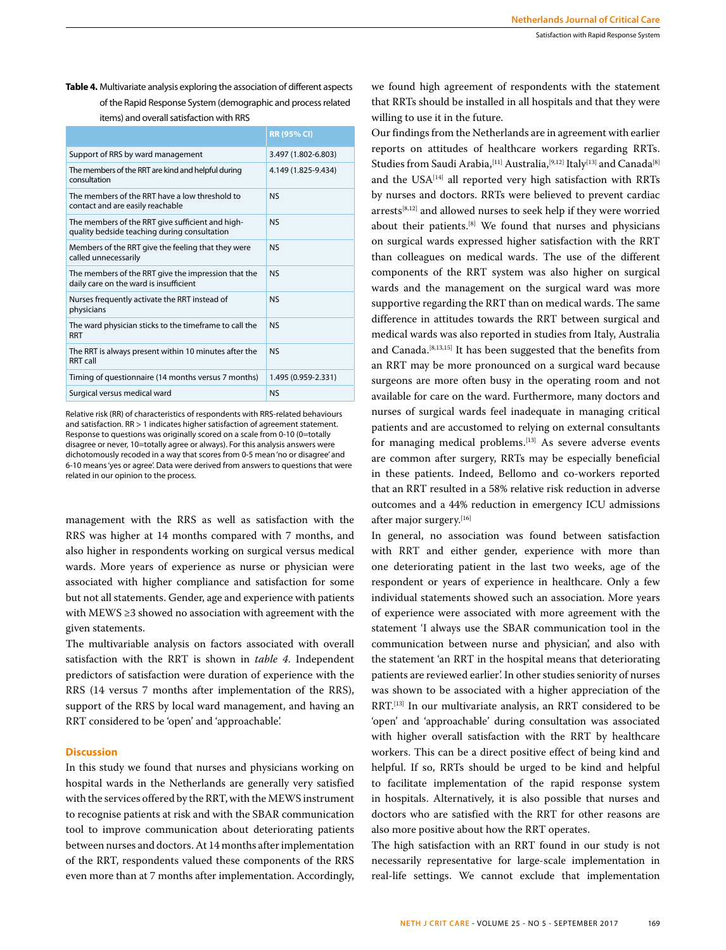**Table 4.** Multivariate analysis exploring the association of different aspects of the Rapid Response System (demographic and process related

|  | items) and overall satisfaction with RRS |
|--|------------------------------------------|
|--|------------------------------------------|

|                                                                                                  | <b>RR (95% CI)</b>  |
|--------------------------------------------------------------------------------------------------|---------------------|
| Support of RRS by ward management                                                                | 3.497 (1.802-6.803) |
| The members of the RRT are kind and helpful during<br>consultation                               | 4.149 (1.825-9.434) |
| The members of the RRT have a low threshold to<br>contact and are easily reachable               | N <sub>S</sub>      |
| The members of the RRT give sufficient and high-<br>quality bedside teaching during consultation | N <sub>S</sub>      |
| Members of the RRT give the feeling that they were<br>called unnecessarily                       | N <sub>S</sub>      |
| The members of the RRT give the impression that the<br>daily care on the ward is insufficient    | N <sub>S</sub>      |
| Nurses frequently activate the RRT instead of<br>physicians                                      | <b>NS</b>           |
| The ward physician sticks to the timeframe to call the<br><b>RRT</b>                             | N <sub>S</sub>      |
| The RRT is always present within 10 minutes after the<br>RRT call                                | <b>NS</b>           |
| Timing of questionnaire (14 months versus 7 months)                                              | 1.495 (0.959-2.331) |
| Surgical versus medical ward                                                                     | <b>NS</b>           |

Relative risk (RR) of characteristics of respondents with RRS-related behaviours and satisfaction. RR > 1 indicates higher satisfaction of agreement statement. Response to questions was originally scored on a scale from 0-10 (0=totally disagree or never, 10=totally agree or always). For this analysis answers were dichotomously recoded in a way that scores from 0-5 mean 'no or disagree' and 6-10 means 'yes or agree'. Data were derived from answers to questions that were related in our opinion to the process.

management with the RRS as well as satisfaction with the RRS was higher at 14 months compared with 7 months, and also higher in respondents working on surgical versus medical wards. More years of experience as nurse or physician were associated with higher compliance and satisfaction for some but not all statements. Gender, age and experience with patients with MEWS ≥3 showed no association with agreement with the given statements.

The multivariable analysis on factors associated with overall satisfaction with the RRT is shown in *table 4*. Independent predictors of satisfaction were duration of experience with the RRS (14 versus 7 months after implementation of the RRS), support of the RRS by local ward management, and having an RRT considered to be 'open' and 'approachable'.

## **Discussion**

In this study we found that nurses and physicians working on hospital wards in the Netherlands are generally very satisfied with the services offered by the RRT, with the MEWS instrument to recognise patients at risk and with the SBAR communication tool to improve communication about deteriorating patients between nurses and doctors. At 14 months after implementation of the RRT, respondents valued these components of the RRS even more than at 7 months after implementation. Accordingly,

we found high agreement of respondents with the statement that RRTs should be installed in all hospitals and that they were willing to use it in the future.

Our findings from the Netherlands are in agreement with earlier reports on attitudes of healthcare workers regarding RRTs. Studies from Saudi Arabia,<sup>[11]</sup> Australia,<sup>[9,12]</sup> Italy<sup>[13]</sup> and Canada<sup>[8]</sup> and the USA[14] all reported very high satisfaction with RRTs by nurses and doctors. RRTs were believed to prevent cardiac arrests[8,12] and allowed nurses to seek help if they were worried about their patients.[8] We found that nurses and physicians on surgical wards expressed higher satisfaction with the RRT than colleagues on medical wards. The use of the different components of the RRT system was also higher on surgical wards and the management on the surgical ward was more supportive regarding the RRT than on medical wards. The same difference in attitudes towards the RRT between surgical and medical wards was also reported in studies from Italy, Australia and Canada.<sup>[8,13,15]</sup> It has been suggested that the benefits from an RRT may be more pronounced on a surgical ward because surgeons are more often busy in the operating room and not available for care on the ward. Furthermore, many doctors and nurses of surgical wards feel inadequate in managing critical patients and are accustomed to relying on external consultants for managing medical problems.<sup>[13]</sup> As severe adverse events are common after surgery, RRTs may be especially beneficial in these patients. Indeed, Bellomo and co-workers reported that an RRT resulted in a 58% relative risk reduction in adverse outcomes and a 44% reduction in emergency ICU admissions after major surgery.<sup>[16]</sup>

In general, no association was found between satisfaction with RRT and either gender, experience with more than one deteriorating patient in the last two weeks, age of the respondent or years of experience in healthcare. Only a few individual statements showed such an association. More years of experience were associated with more agreement with the statement 'I always use the SBAR communication tool in the communication between nurse and physician', and also with the statement 'an RRT in the hospital means that deteriorating patients are reviewed earlier'. In other studies seniority of nurses was shown to be associated with a higher appreciation of the RRT.[13] In our multivariate analysis, an RRT considered to be 'open' and 'approachable' during consultation was associated with higher overall satisfaction with the RRT by healthcare workers. This can be a direct positive effect of being kind and helpful. If so, RRTs should be urged to be kind and helpful to facilitate implementation of the rapid response system in hospitals. Alternatively, it is also possible that nurses and doctors who are satisfied with the RRT for other reasons are also more positive about how the RRT operates.

The high satisfaction with an RRT found in our study is not necessarily representative for large-scale implementation in real-life settings. We cannot exclude that implementation